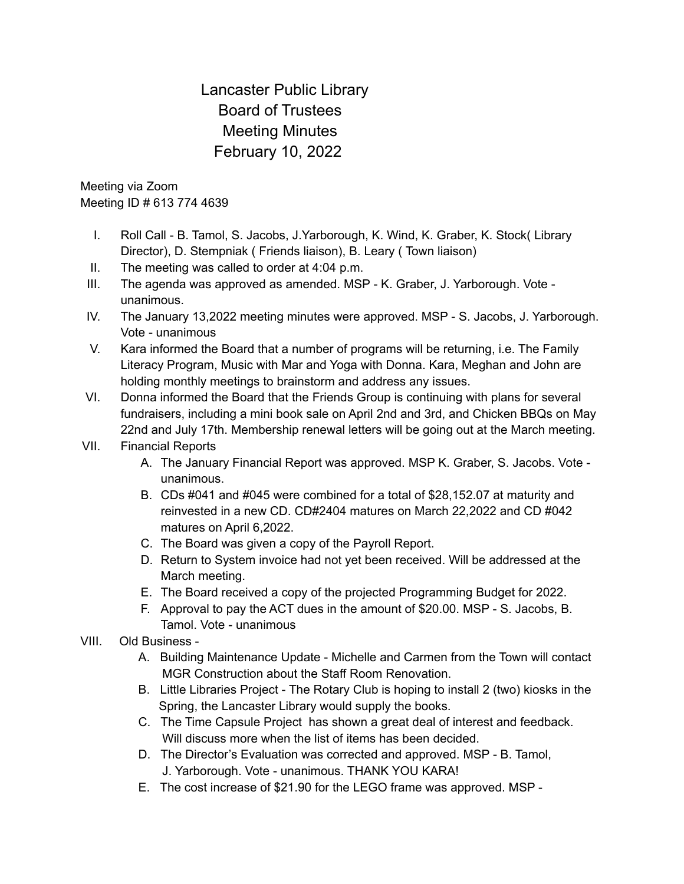## Lancaster Public Library Board of Trustees Meeting Minutes February 10, 2022

Meeting via Zoom Meeting ID # 613 774 4639

- I. Roll Call B. Tamol, S. Jacobs, J.Yarborough, K. Wind, K. Graber, K. Stock( Library Director), D. Stempniak ( Friends liaison), B. Leary ( Town liaison)
- II. The meeting was called to order at 4:04 p.m.
- III. The agenda was approved as amended. MSP K. Graber, J. Yarborough. Vote unanimous.
- IV. The January 13,2022 meeting minutes were approved. MSP S. Jacobs, J. Yarborough. Vote - unanimous
- V. Kara informed the Board that a number of programs will be returning, i.e. The Family Literacy Program, Music with Mar and Yoga with Donna. Kara, Meghan and John are holding monthly meetings to brainstorm and address any issues.
- VI. Donna informed the Board that the Friends Group is continuing with plans for several fundraisers, including a mini book sale on April 2nd and 3rd, and Chicken BBQs on May 22nd and July 17th. Membership renewal letters will be going out at the March meeting.

## VII. Financial Reports

- A. The January Financial Report was approved. MSP K. Graber, S. Jacobs. Vote unanimous.
- B. CDs #041 and #045 were combined for a total of \$28,152.07 at maturity and reinvested in a new CD. CD#2404 matures on March 22,2022 and CD #042 matures on April 6,2022.
- C. The Board was given a copy of the Payroll Report.
- D. Return to System invoice had not yet been received. Will be addressed at the March meeting.
- E. The Board received a copy of the projected Programming Budget for 2022.
- F. Approval to pay the ACT dues in the amount of \$20.00. MSP S. Jacobs, B. Tamol. Vote - unanimous
- VIII. Old Business
	- A. Building Maintenance Update Michelle and Carmen from the Town will contact MGR Construction about the Staff Room Renovation.
	- B. Little Libraries Project The Rotary Club is hoping to install 2 (two) kiosks in the Spring, the Lancaster Library would supply the books.
	- C. The Time Capsule Project has shown a great deal of interest and feedback. Will discuss more when the list of items has been decided.
	- D. The Director's Evaluation was corrected and approved. MSP B. Tamol, J. Yarborough. Vote - unanimous. THANK YOU KARA!
	- E. The cost increase of \$21.90 for the LEGO frame was approved. MSP -